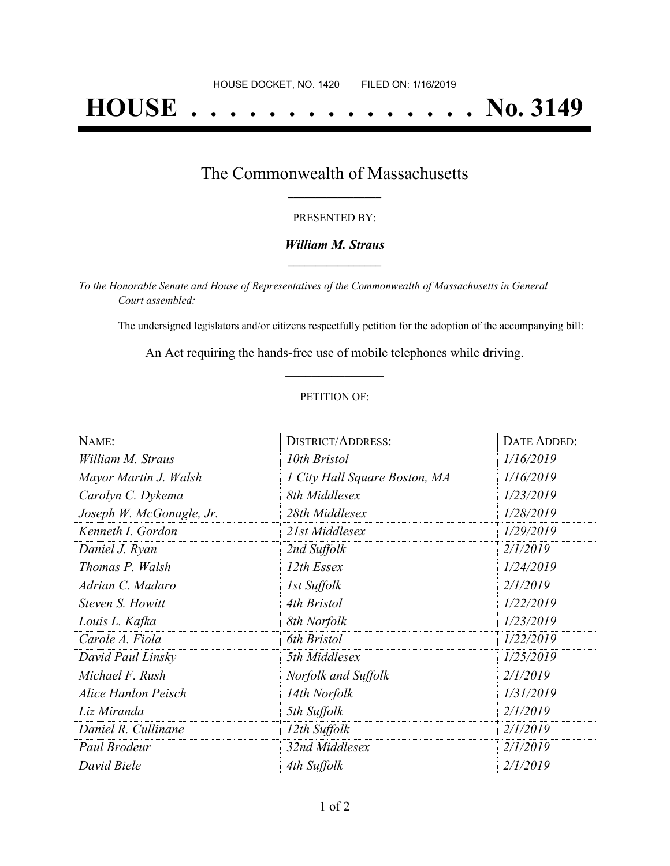# **HOUSE . . . . . . . . . . . . . . . No. 3149**

## The Commonwealth of Massachusetts **\_\_\_\_\_\_\_\_\_\_\_\_\_\_\_\_\_**

#### PRESENTED BY:

### *William M. Straus* **\_\_\_\_\_\_\_\_\_\_\_\_\_\_\_\_\_**

*To the Honorable Senate and House of Representatives of the Commonwealth of Massachusetts in General Court assembled:*

The undersigned legislators and/or citizens respectfully petition for the adoption of the accompanying bill:

An Act requiring the hands-free use of mobile telephones while driving. **\_\_\_\_\_\_\_\_\_\_\_\_\_\_\_**

#### PETITION OF:

| NAME:                      | <b>DISTRICT/ADDRESS:</b>      | <b>DATE ADDED:</b> |
|----------------------------|-------------------------------|--------------------|
| William M. Straus          | 10th Bristol                  | 1/16/2019          |
| Mayor Martin J. Walsh      | 1 City Hall Square Boston, MA | 1/16/2019          |
| Carolyn C. Dykema          | 8th Middlesex                 | 1/23/2019          |
| Joseph W. McGonagle, Jr.   | 28th Middlesex                | 1/28/2019          |
| Kenneth I. Gordon          | 21st Middlesex                | 1/29/2019          |
| Daniel J. Ryan             | 2nd Suffolk                   | 2/1/2019           |
| Thomas P. Walsh            | 12th Essex                    | 1/24/2019          |
| Adrian C. Madaro           | 1st Suffolk                   | 2/1/2019           |
| Steven S. Howitt           | 4th Bristol                   | 1/22/2019          |
| Louis L. Kafka             | 8th Norfolk                   | 1/23/2019          |
| Carole A. Fiola            | 6th Bristol                   | 1/22/2019          |
| David Paul Linsky          | 5th Middlesex                 | 1/25/2019          |
| Michael F. Rush            | Norfolk and Suffolk           | 2/1/2019           |
| <b>Alice Hanlon Peisch</b> | 14th Norfolk                  | 1/31/2019          |
| Liz Miranda                | 5th Suffolk                   | 2/1/2019           |
| Daniel R. Cullinane        | 12th Suffolk                  | 2/1/2019           |
| Paul Brodeur               | 32nd Middlesex                | 2/1/2019           |
| David Biele                | 4th Suffolk                   | 2/1/2019           |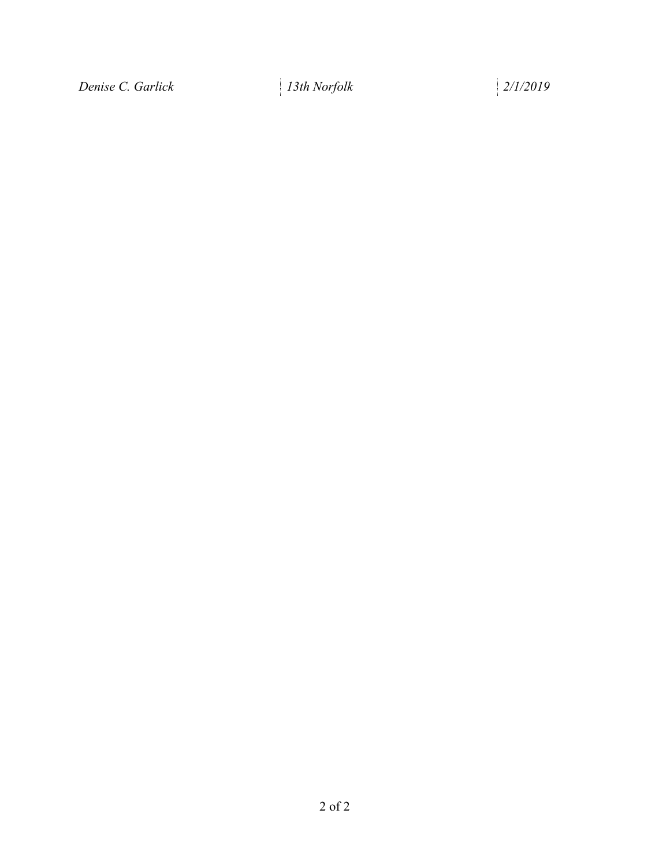*Denise C. Garlick 13th Norfolk 2/1/2019*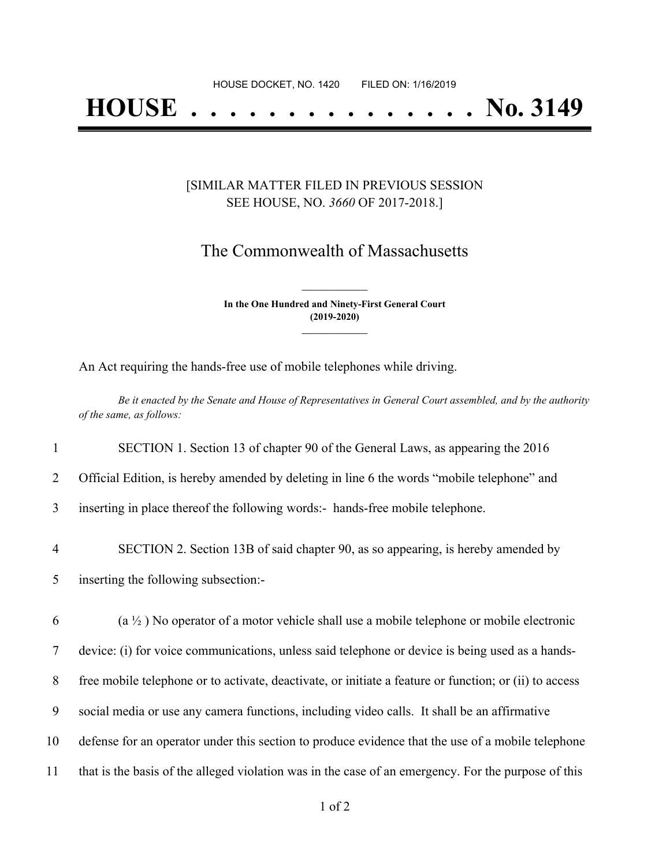# **HOUSE . . . . . . . . . . . . . . . No. 3149**

### [SIMILAR MATTER FILED IN PREVIOUS SESSION SEE HOUSE, NO. *3660* OF 2017-2018.]

## The Commonwealth of Massachusetts

**In the One Hundred and Ninety-First General Court (2019-2020) \_\_\_\_\_\_\_\_\_\_\_\_\_\_\_**

**\_\_\_\_\_\_\_\_\_\_\_\_\_\_\_**

An Act requiring the hands-free use of mobile telephones while driving.

Be it enacted by the Senate and House of Representatives in General Court assembled, and by the authority *of the same, as follows:*

 SECTION 1. Section 13 of chapter 90 of the General Laws, as appearing the 2016 Official Edition, is hereby amended by deleting in line 6 the words "mobile telephone" and inserting in place thereof the following words:- hands-free mobile telephone. SECTION 2. Section 13B of said chapter 90, as so appearing, is hereby amended by inserting the following subsection:- (a  $\frac{1}{2}$ ) No operator of a motor vehicle shall use a mobile telephone or mobile electronic device: (i) for voice communications, unless said telephone or device is being used as a hands- free mobile telephone or to activate, deactivate, or initiate a feature or function; or (ii) to access social media or use any camera functions, including video calls. It shall be an affirmative defense for an operator under this section to produce evidence that the use of a mobile telephone that is the basis of the alleged violation was in the case of an emergency. For the purpose of this